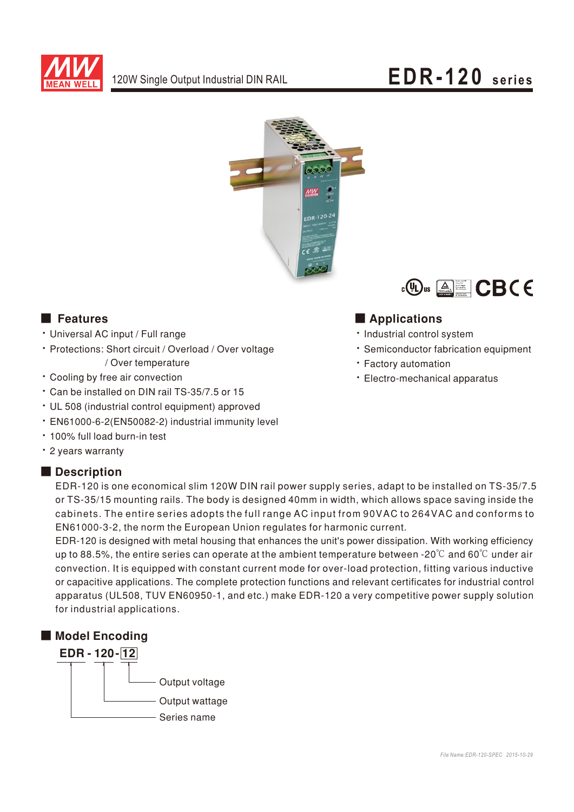

# EDR-120 series



### **Execution** Features

- · Universal AC input / Full range
- · Protections: Short circuit / Overload / Over voltage / Over temperature
- Cooling by free air convection
- \* Can be installed on DIN rail TS-35/7.5 or 15
- UL 508 (industrial control equipment) approved
- · EN61000-6-2(EN50082-2) industrial immunity level
- . 100% full load burn-in test
- · 2 years warranty

#### Description



### Applications

- · Industrial control system
- · Semiconductor fabrication equipment
- · Factory automation
- · Electro-mechanical apparatus

EDR-120 is one economical slim 120W DIN rail power supply series, adapt to be installed on TS-35/7.5 or TS-35/15 mounting rails. The body is designed 40mm in width, which allows space saving inside the cabinets. The entire series adopts the full range AC input from 90VAC to 264VAC and conforms to EN61000-3-2, the norm the European Union regulates for harmonic current.

EDR-120 is designed with metal housing that enhances the unit's power dissipation. With working efficiency up to 88.5%, the entire series can operate at the ambient temperature between -20°C and 60°C under air convection. It is equipped with constant current mode for over-load protection, fitting various inductive or capacitive applications. The complete protection functions and relevant certificates for industrial control apparatus (UL508, TUV EN60950-1, and etc.) make EDR-120 a very competitive power supply solution for industrial applications.

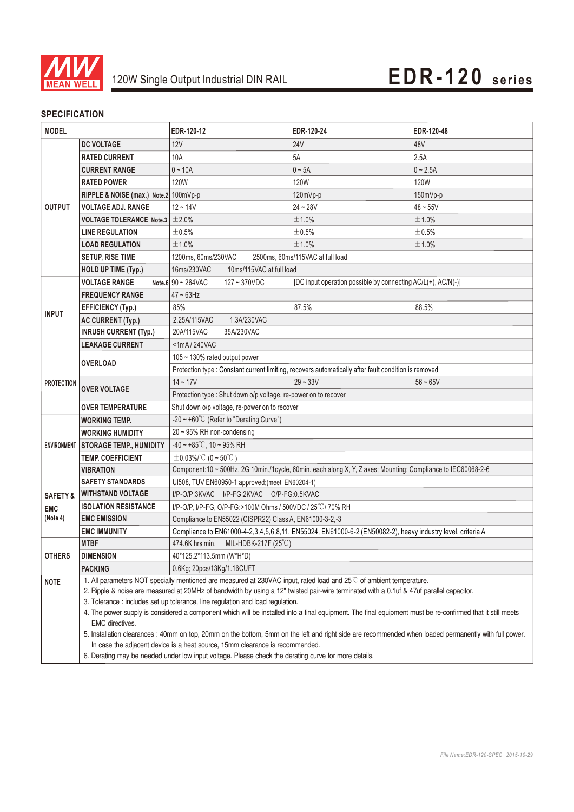

#### **SPECIFICATION**

| <b>MODEL</b>                                  |                                                                                                      | EDR-120-12                                                                                                                                                                                                                                   | EDR-120-24                                                   | EDR-120-48 |
|-----------------------------------------------|------------------------------------------------------------------------------------------------------|----------------------------------------------------------------------------------------------------------------------------------------------------------------------------------------------------------------------------------------------|--------------------------------------------------------------|------------|
| <b>OUTPUT</b>                                 | <b>DC VOLTAGE</b>                                                                                    | 12V                                                                                                                                                                                                                                          | <b>24V</b>                                                   | 48V        |
|                                               | <b>RATED CURRENT</b>                                                                                 | 10A                                                                                                                                                                                                                                          | 5A                                                           | 2.5A       |
|                                               | <b>CURRENT RANGE</b>                                                                                 | $0 - 10A$                                                                                                                                                                                                                                    | $0 - 5A$                                                     | $0 - 2.5A$ |
|                                               | <b>RATED POWER</b>                                                                                   | <b>120W</b>                                                                                                                                                                                                                                  | <b>120W</b>                                                  | 120W       |
|                                               | RIPPLE & NOISE (max.) Note.2 100mVp-p                                                                |                                                                                                                                                                                                                                              | 120mVp-p                                                     | 150mVp-p   |
|                                               | <b>VOLTAGE ADJ. RANGE</b>                                                                            | $12 - 14V$                                                                                                                                                                                                                                   | $24 - 28V$                                                   | $48 - 55V$ |
|                                               | <b>VOLTAGE TOLERANCE</b> Note.3 $\pm$ 2.0%                                                           |                                                                                                                                                                                                                                              | ±1.0%                                                        | ±1.0%      |
|                                               | <b>LINE REGULATION</b>                                                                               | $\pm 0.5\%$                                                                                                                                                                                                                                  | ±0.5%                                                        | ±0.5%      |
|                                               | <b>LOAD REGULATION</b>                                                                               | ±1.0%                                                                                                                                                                                                                                        | ±1.0%                                                        | ±1.0%      |
|                                               | <b>SETUP, RISE TIME</b>                                                                              | 1200ms, 60ms/230VAC                                                                                                                                                                                                                          | 2500ms, 60ms/115VAC at full load                             |            |
|                                               | <b>HOLD UP TIME (Typ.)</b>                                                                           | 10ms/115VAC at full load<br>16ms/230VAC                                                                                                                                                                                                      |                                                              |            |
|                                               | <b>VOLTAGE RANGE</b>                                                                                 | Note.6 $90 \sim 264$ VAC<br>127~370VDC                                                                                                                                                                                                       | [DC input operation possible by connecting AC/L(+), AC/N(-)] |            |
| <b>INPUT</b>                                  | <b>FREQUENCY RANGE</b>                                                                               | $47 \sim 63$ Hz                                                                                                                                                                                                                              |                                                              |            |
|                                               | <b>EFFICIENCY (Typ.)</b>                                                                             | 85%                                                                                                                                                                                                                                          | 87.5%                                                        | 88.5%      |
|                                               | <b>AC CURRENT (Typ.)</b>                                                                             | 1.3A/230VAC<br>2.25A/115VAC                                                                                                                                                                                                                  |                                                              |            |
|                                               | <b>INRUSH CURRENT (Typ.)</b>                                                                         | 20A/115VAC<br>35A/230VAC                                                                                                                                                                                                                     |                                                              |            |
|                                               | <b>LEAKAGE CURRENT</b>                                                                               | <1mA/240VAC                                                                                                                                                                                                                                  |                                                              |            |
| <b>PROTECTION</b>                             | <b>OVERLOAD</b>                                                                                      | 105 ~ 130% rated output power                                                                                                                                                                                                                |                                                              |            |
|                                               |                                                                                                      | Protection type : Constant current limiting, recovers automatically after fault condition is removed                                                                                                                                         |                                                              |            |
|                                               | <b>OVER VOLTAGE</b>                                                                                  | $14 - 17V$                                                                                                                                                                                                                                   | $29 - 33V$                                                   | $56 - 65V$ |
|                                               |                                                                                                      | Protection type : Shut down o/p voltage, re-power on to recover                                                                                                                                                                              |                                                              |            |
|                                               | <b>OVER TEMPERATURE</b>                                                                              | Shut down o/p voltage, re-power on to recover                                                                                                                                                                                                |                                                              |            |
|                                               | WORKING TEMP.                                                                                        | -20 $\sim$ +60°C (Refer to "Derating Curve")                                                                                                                                                                                                 |                                                              |            |
|                                               | <b>WORKING HUMIDITY</b>                                                                              | 20~95% RH non-condensing                                                                                                                                                                                                                     |                                                              |            |
|                                               | ENVIRONMENT STORAGE TEMP., HUMIDITY                                                                  | $-40 \sim +85^{\circ}$ C, 10 ~ 95% RH                                                                                                                                                                                                        |                                                              |            |
|                                               | <b>TEMP. COEFFICIENT</b>                                                                             | $\pm$ 0.03%/°C (0 ~ 50°C)                                                                                                                                                                                                                    |                                                              |            |
|                                               | <b>VIBRATION</b>                                                                                     | Component:10 ~ 500Hz, 2G 10min./1cycle, 60min. each along X, Y, Z axes; Mounting: Compliance to IEC60068-2-6                                                                                                                                 |                                                              |            |
|                                               | <b>SAFETY STANDARDS</b>                                                                              | UI508, TUV EN60950-1 approved;(meet EN60204-1)                                                                                                                                                                                               |                                                              |            |
| <b>SAFETY &amp;</b><br><b>EMC</b><br>(Note 4) | <b>WITHSTAND VOLTAGE</b>                                                                             | I/P-O/P:3KVAC I/P-FG:2KVAC O/P-FG:0.5KVAC                                                                                                                                                                                                    |                                                              |            |
|                                               | <b>ISOLATION RESISTANCE</b>                                                                          | I/P-O/P, I/P-FG, O/P-FG:>100M Ohms / 500VDC / 25°C/ 70% RH                                                                                                                                                                                   |                                                              |            |
|                                               | <b>EMC EMISSION</b>                                                                                  | Compliance to EN55022 (CISPR22) Class A, EN61000-3-2,-3                                                                                                                                                                                      |                                                              |            |
|                                               | <b>EMC IMMUNITY</b>                                                                                  | Compliance to EN61000-4-2,3,4,5,6,8,11, EN55024, EN61000-6-2 (EN50082-2), heavy industry level, criteria A                                                                                                                                   |                                                              |            |
|                                               | MTBF                                                                                                 | 474.6K hrs min. MIL-HDBK-217F $(25^{\circ}C)$                                                                                                                                                                                                |                                                              |            |
| <b>OTHERS</b>                                 | 40*125.2*113.5mm (W*H*D)<br><b>DIMENSION</b>                                                         |                                                                                                                                                                                                                                              |                                                              |            |
|                                               | <b>PACKING</b>                                                                                       | 0.6Kg; 20pcs/13Kg/1.16CUFT                                                                                                                                                                                                                   |                                                              |            |
| <b>NOTE</b>                                   |                                                                                                      | 1. All parameters NOT specially mentioned are measured at 230VAC input, rated load and 25°C of ambient temperature.                                                                                                                          |                                                              |            |
|                                               |                                                                                                      | 2. Ripple & noise are measured at 20MHz of bandwidth by using a 12" twisted pair-wire terminated with a 0.1uf & 47uf parallel capacitor.                                                                                                     |                                                              |            |
|                                               |                                                                                                      | 3. Tolerance : includes set up tolerance, line regulation and load regulation.<br>4. The power supply is considered a component which will be installed into a final equipment. The final equipment must be re-confirmed that it still meets |                                                              |            |
|                                               | EMC directives.                                                                                      |                                                                                                                                                                                                                                              |                                                              |            |
|                                               |                                                                                                      | 5. Installation clearances : 40mm on top, 20mm on the bottom, 5mm on the left and right side are recommended when loaded permanently with full power.<br>In case the adjacent device is a heat source, 15mm clearance is recommended.        |                                                              |            |
|                                               |                                                                                                      |                                                                                                                                                                                                                                              |                                                              |            |
|                                               | 6. Derating may be needed under low input voltage. Please check the derating curve for more details. |                                                                                                                                                                                                                                              |                                                              |            |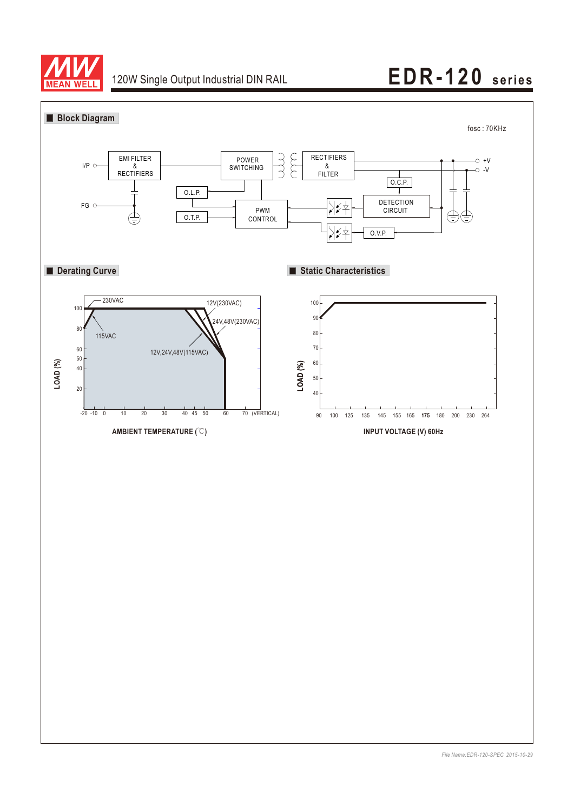

# 120W Single Output Industrial DIN RAIL **EDR-120** series